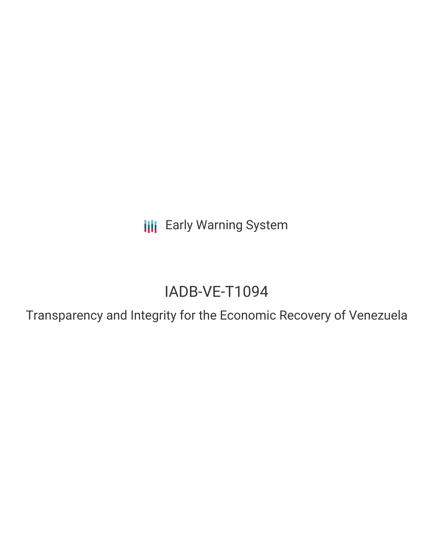**III** Early Warning System

# IADB-VE-T1094

Transparency and Integrity for the Economic Recovery of Venezuela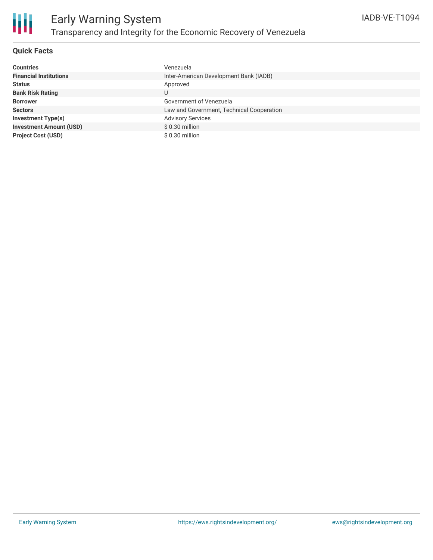

## **Quick Facts**

| <b>Countries</b>               | Venezuela                                 |
|--------------------------------|-------------------------------------------|
| <b>Financial Institutions</b>  | Inter-American Development Bank (IADB)    |
| <b>Status</b>                  | Approved                                  |
| <b>Bank Risk Rating</b>        | U                                         |
| <b>Borrower</b>                | Government of Venezuela                   |
| <b>Sectors</b>                 | Law and Government, Technical Cooperation |
| <b>Investment Type(s)</b>      | <b>Advisory Services</b>                  |
| <b>Investment Amount (USD)</b> | $$0.30$ million                           |
| <b>Project Cost (USD)</b>      | $$0.30$ million                           |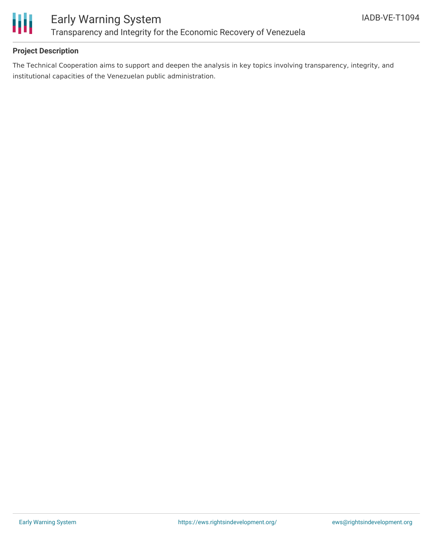

## **Project Description**

The Technical Cooperation aims to support and deepen the analysis in key topics involving transparency, integrity, and institutional capacities of the Venezuelan public administration.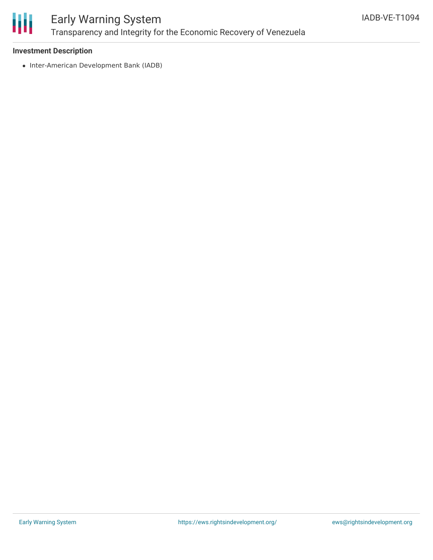

# Early Warning System Transparency and Integrity for the Economic Recovery of Venezuela

### **Investment Description**

• Inter-American Development Bank (IADB)